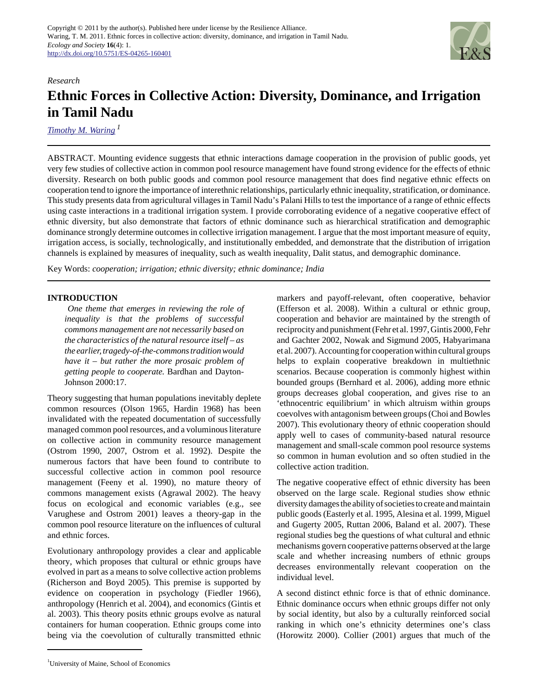

#### *Research*

# **Ethnic Forces in Collective Action: Diversity, Dominance, and Irrigation in Tamil Nadu**

*[Timothy M. Waring](mailto:timothy.waring@maine.edu)<sup>1</sup>*

ABSTRACT. Mounting evidence suggests that ethnic interactions damage cooperation in the provision of public goods, yet very few studies of collective action in common pool resource management have found strong evidence for the effects of ethnic diversity. Research on both public goods and common pool resource management that does find negative ethnic effects on cooperation tend to ignore the importance of interethnic relationships, particularly ethnic inequality, stratification, or dominance. This study presents data from agricultural villages in Tamil Nadu's Palani Hills to test the importance of a range of ethnic effects using caste interactions in a traditional irrigation system. I provide corroborating evidence of a negative cooperative effect of ethnic diversity, but also demonstrate that factors of ethnic dominance such as hierarchical stratification and demographic dominance strongly determine outcomes in collective irrigation management. I argue that the most important measure of equity, irrigation access, is socially, technologically, and institutionally embedded, and demonstrate that the distribution of irrigation channels is explained by measures of inequality, such as wealth inequality, Dalit status, and demographic dominance.

Key Words: *cooperation; irrigation; ethnic diversity; ethnic dominance; India*

## **INTRODUCTION**

*One theme that emerges in reviewing the role of inequality is that the problems of successful commons management are not necessarily based on the characteristics of the natural resource itself – as the earlier, tragedy-of-the-commons tradition would have it – but rather the more prosaic problem of getting people to cooperate.* Bardhan and Dayton-Johnson 2000:17.

Theory suggesting that human populations inevitably deplete common resources (Olson 1965, Hardin 1968) has been invalidated with the repeated documentation of successfully managed common pool resources, and a voluminous literature on collective action in community resource management (Ostrom 1990, 2007, Ostrom et al. 1992). Despite the numerous factors that have been found to contribute to successful collective action in common pool resource management (Feeny et al. 1990), no mature theory of commons management exists (Agrawal 2002). The heavy focus on ecological and economic variables (e.g., see Varughese and Ostrom 2001) leaves a theory-gap in the common pool resource literature on the influences of cultural and ethnic forces.

Evolutionary anthropology provides a clear and applicable theory, which proposes that cultural or ethnic groups have evolved in part as a means to solve collective action problems (Richerson and Boyd 2005). This premise is supported by evidence on cooperation in psychology (Fiedler 1966), anthropology (Henrich et al. 2004), and economics (Gintis et al. 2003). This theory posits ethnic groups evolve as natural containers for human cooperation. Ethnic groups come into being via the coevolution of culturally transmitted ethnic markers and payoff-relevant, often cooperative, behavior (Efferson et al. 2008). Within a cultural or ethnic group, cooperation and behavior are maintained by the strength of reciprocity and punishment (Fehr et al. 1997, Gintis 2000, Fehr and Gachter 2002, Nowak and Sigmund 2005, Habyarimana et al. 2007). Accounting for cooperation within cultural groups helps to explain cooperative breakdown in multiethnic scenarios. Because cooperation is commonly highest within bounded groups (Bernhard et al. 2006), adding more ethnic groups decreases global cooperation, and gives rise to an 'ethnocentric equilibrium' in which altruism within groups coevolves with antagonism between groups (Choi and Bowles 2007). This evolutionary theory of ethnic cooperation should apply well to cases of community-based natural resource management and small-scale common pool resource systems so common in human evolution and so often studied in the collective action tradition.

The negative cooperative effect of ethnic diversity has been observed on the large scale. Regional studies show ethnic diversity damages the ability of societies to create and maintain public goods (Easterly et al. 1995, Alesina et al. 1999, Miguel and Gugerty 2005, Ruttan 2006, Baland et al. 2007). These regional studies beg the questions of what cultural and ethnic mechanisms govern cooperative patterns observed at the large scale and whether increasing numbers of ethnic groups decreases environmentally relevant cooperation on the individual level.

A second distinct ethnic force is that of ethnic dominance. Ethnic dominance occurs when ethnic groups differ not only by social identity, but also by a culturally reinforced social ranking in which one's ethnicity determines one's class (Horowitz 2000). Collier (2001) argues that much of the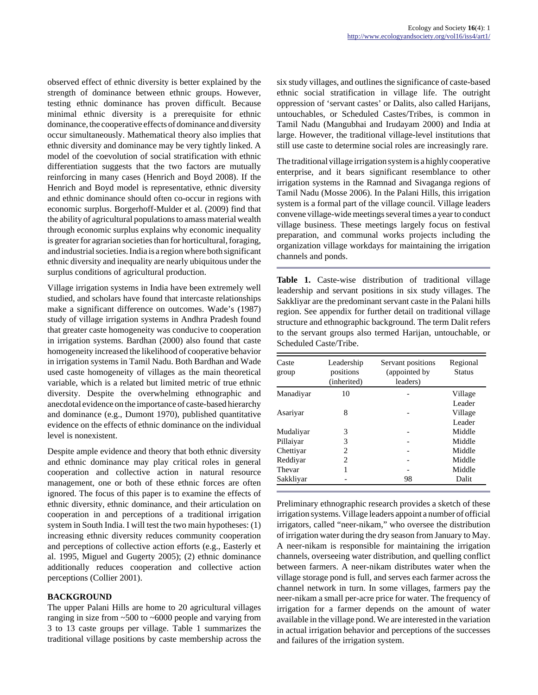observed effect of ethnic diversity is better explained by the strength of dominance between ethnic groups. However, testing ethnic dominance has proven difficult. Because minimal ethnic diversity is a prerequisite for ethnic dominance, the cooperative effects of dominance and diversity occur simultaneously. Mathematical theory also implies that ethnic diversity and dominance may be very tightly linked. A model of the coevolution of social stratification with ethnic differentiation suggests that the two factors are mutually reinforcing in many cases (Henrich and Boyd 2008). If the Henrich and Boyd model is representative, ethnic diversity and ethnic dominance should often co-occur in regions with economic surplus. Borgerhoff-Mulder et al. (2009) find that the ability of agricultural populations to amass material wealth through economic surplus explains why economic inequality is greater for agrarian societies than for horticultural, foraging, and industrial societies. India is a region where both significant ethnic diversity and inequality are nearly ubiquitous under the surplus conditions of agricultural production.

Village irrigation systems in India have been extremely well studied, and scholars have found that intercaste relationships make a significant difference on outcomes. Wade's (1987) study of village irrigation systems in Andhra Pradesh found that greater caste homogeneity was conducive to cooperation in irrigation systems. Bardhan (2000) also found that caste homogeneity increased the likelihood of cooperative behavior in irrigation systems in Tamil Nadu. Both Bardhan and Wade used caste homogeneity of villages as the main theoretical variable, which is a related but limited metric of true ethnic diversity. Despite the overwhelming ethnographic and anecdotal evidence on the importance of caste-based hierarchy and dominance (e.g., Dumont 1970), published quantitative evidence on the effects of ethnic dominance on the individual level is nonexistent.

Despite ample evidence and theory that both ethnic diversity and ethnic dominance may play critical roles in general cooperation and collective action in natural resource management, one or both of these ethnic forces are often ignored. The focus of this paper is to examine the effects of ethnic diversity, ethnic dominance, and their articulation on cooperation in and perceptions of a traditional irrigation system in South India. I will test the two main hypotheses: (1) increasing ethnic diversity reduces community cooperation and perceptions of collective action efforts (e.g., Easterly et al. 1995, Miguel and Gugerty 2005); (2) ethnic dominance additionally reduces cooperation and collective action perceptions (Collier 2001).

#### **BACKGROUND**

The upper Palani Hills are home to 20 agricultural villages ranging in size from ~500 to ~6000 people and varying from 3 to 13 caste groups per village. Table 1 summarizes the traditional village positions by caste membership across the six study villages, and outlines the significance of caste-based ethnic social stratification in village life. The outright oppression of 'servant castes' or Dalits, also called Harijans, untouchables, or Scheduled Castes/Tribes, is common in Tamil Nadu (Mangubhai and Irudayam 2000) and India at large. However, the traditional village-level institutions that still use caste to determine social roles are increasingly rare.

The traditional village irrigation system is a highly cooperative enterprise, and it bears significant resemblance to other irrigation systems in the Ramnad and Sivaganga regions of Tamil Nadu (Mosse 2006). In the Palani Hills, this irrigation system is a formal part of the village council. Village leaders convene village-wide meetings several times a year to conduct village business. These meetings largely focus on festival preparation, and communal works projects including the organization village workdays for maintaining the irrigation channels and ponds.

**Table 1.** Caste-wise distribution of traditional village leadership and servant positions in six study villages. The Sakkliyar are the predominant servant caste in the Palani hills region. See appendix for further detail on traditional village structure and ethnographic background. The term Dalit refers to the servant groups also termed Harijan, untouchable, or Scheduled Caste/Tribe.

| Caste<br>group | Leadership<br>positions<br>(inherited) | Servant positions<br>(appointed by<br>leaders) | Regional<br><b>Status</b> |
|----------------|----------------------------------------|------------------------------------------------|---------------------------|
| Manadiyar      | 10                                     |                                                | Village                   |
|                |                                        |                                                | Leader                    |
| Asariyar       | 8                                      |                                                | Village                   |
|                |                                        |                                                | Leader                    |
| Mudaliyar      | 3                                      |                                                | Middle                    |
| Pillaiyar      | 3                                      |                                                | Middle                    |
| Chettiyar      | 2                                      |                                                | Middle                    |
| Reddivar       | 2                                      |                                                | Middle                    |
| Thevar         | 1                                      |                                                | Middle                    |
| Sakklivar      |                                        | 98                                             | Dalit                     |

Preliminary ethnographic research provides a sketch of these irrigation systems. Village leaders appoint a number of official irrigators, called "neer-nikam," who oversee the distribution of irrigation water during the dry season from January to May. A neer-nikam is responsible for maintaining the irrigation channels, overseeing water distribution, and quelling conflict between farmers. A neer-nikam distributes water when the village storage pond is full, and serves each farmer across the channel network in turn. In some villages, farmers pay the neer-nikam a small per-acre price for water. The frequency of irrigation for a farmer depends on the amount of water available in the village pond. We are interested in the variation in actual irrigation behavior and perceptions of the successes and failures of the irrigation system.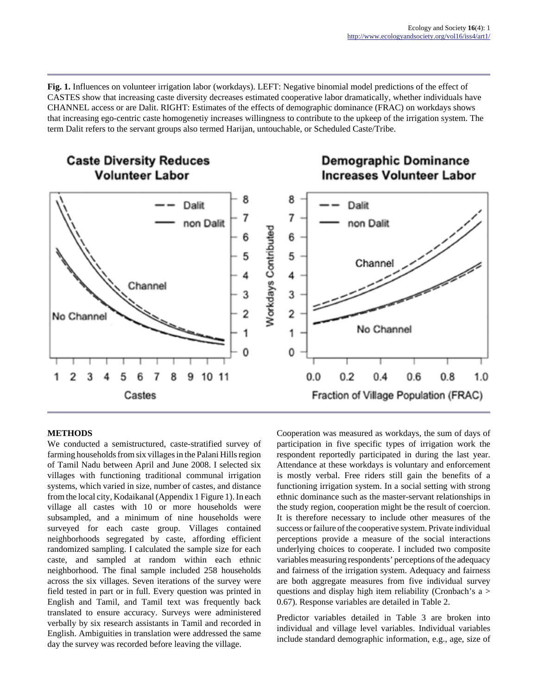**Fig. 1.** Influences on volunteer irrigation labor (workdays). LEFT: Negative binomial model predictions of the effect of CASTES show that increasing caste diversity decreases estimated cooperative labor dramatically, whether individuals have CHANNEL access or are Dalit. RIGHT: Estimates of the effects of demographic dominance (FRAC) on workdays shows that increasing ego-centric caste homogenetiy increases willingness to contribute to the upkeep of the irrigation system. The term Dalit refers to the servant groups also termed Harijan, untouchable, or Scheduled Caste/Tribe.



## **METHODS**

We conducted a semistructured, caste-stratified survey of farming households from six villages in the Palani Hills region of Tamil Nadu between April and June 2008. I selected six villages with functioning traditional communal irrigation systems, which varied in size, number of castes, and distance from the local city, Kodaikanal (Appendix 1 Figure 1). In each village all castes with 10 or more households were subsampled, and a minimum of nine households were surveyed for each caste group. Villages contained neighborhoods segregated by caste, affording efficient randomized sampling. I calculated the sample size for each caste, and sampled at random within each ethnic neighborhood. The final sample included 258 households across the six villages. Seven iterations of the survey were field tested in part or in full. Every question was printed in English and Tamil, and Tamil text was frequently back translated to ensure accuracy. Surveys were administered verbally by six research assistants in Tamil and recorded in English. Ambiguities in translation were addressed the same day the survey was recorded before leaving the village.

Cooperation was measured as workdays, the sum of days of participation in five specific types of irrigation work the respondent reportedly participated in during the last year. Attendance at these workdays is voluntary and enforcement is mostly verbal. Free riders still gain the benefits of a functioning irrigation system. In a social setting with strong ethnic dominance such as the master-servant relationships in the study region, cooperation might be the result of coercion. It is therefore necessary to include other measures of the success or failure of the cooperative system. Private individual perceptions provide a measure of the social interactions underlying choices to cooperate. I included two composite variables measuring respondents' perceptions of the adequacy and fairness of the irrigation system. Adequacy and fairness are both aggregate measures from five individual survey questions and display high item reliability (Cronbach's a > 0.67). Response variables are detailed in Table 2.

Predictor variables detailed in Table 3 are broken into individual and village level variables. Individual variables include standard demographic information, e.g., age, size of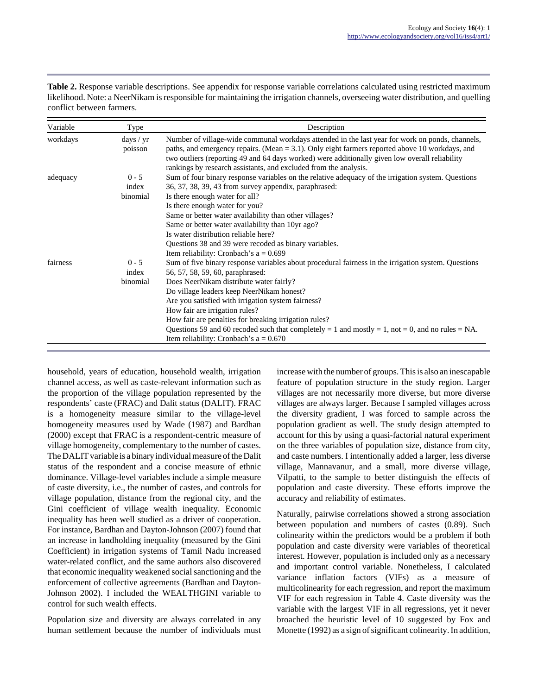| Table 2. Response variable descriptions. See appendix for response variable correlations calculated using restricted maximum      |
|-----------------------------------------------------------------------------------------------------------------------------------|
| likelihood. Note: a NeerNikam is responsible for maintaining the irrigation channels, overseeing water distribution, and quelling |
| conflict between farmers.                                                                                                         |

| Variable | <b>Type</b>                  | Description                                                                                                                                                                                                                                                                                                                                                                                                                                                                                                                      |
|----------|------------------------------|----------------------------------------------------------------------------------------------------------------------------------------------------------------------------------------------------------------------------------------------------------------------------------------------------------------------------------------------------------------------------------------------------------------------------------------------------------------------------------------------------------------------------------|
| workdays | days $/yr$<br>poisson        | Number of village-wide communal workdays attended in the last year for work on ponds, channels,<br>paths, and emergency repairs. (Mean $= 3.1$ ). Only eight farmers reported above 10 workdays, and<br>two outliers (reporting 49 and 64 days worked) were additionally given low overall reliability<br>rankings by research assistants, and excluded from the analysis.                                                                                                                                                       |
| adequacy | $0 - 5$<br>index<br>binomial | Sum of four binary response variables on the relative adequacy of the irrigation system. Questions<br>36, 37, 38, 39, 43 from survey appendix, paraphrased:<br>Is there enough water for all?<br>Is there enough water for you?                                                                                                                                                                                                                                                                                                  |
|          |                              | Same or better water availability than other villages?<br>Same or better water availability than 10yr ago?<br>Is water distribution reliable here?<br>Questions 38 and 39 were recoded as binary variables.<br>Item reliability: Cronbach's $a = 0.699$                                                                                                                                                                                                                                                                          |
| fairness | $0 - 5$<br>index<br>binomial | Sum of five binary response variables about procedural fairness in the irrigation system. Questions<br>56, 57, 58, 59, 60, paraphrased:<br>Does NeerNikam distribute water fairly?<br>Do village leaders keep NeerNikam honest?<br>Are you satisfied with irrigation system fairness?<br>How fair are irrigation rules?<br>How fair are penalties for breaking irrigation rules?<br>Questions 59 and 60 recoded such that completely = 1 and mostly = 1, not = 0, and no rules = NA.<br>Item reliability: Cronbach's $a = 0.670$ |

household, years of education, household wealth, irrigation channel access, as well as caste-relevant information such as the proportion of the village population represented by the respondents' caste (FRAC) and Dalit status (DALIT). FRAC is a homogeneity measure similar to the village-level homogeneity measures used by Wade (1987) and Bardhan (2000) except that FRAC is a respondent-centric measure of village homogeneity, complementary to the number of castes. The DALIT variable is a binary individual measure of the Dalit status of the respondent and a concise measure of ethnic dominance. Village-level variables include a simple measure of caste diversity, i.e., the number of castes, and controls for village population, distance from the regional city, and the Gini coefficient of village wealth inequality. Economic inequality has been well studied as a driver of cooperation. For instance, Bardhan and Dayton-Johnson (2007) found that an increase in landholding inequality (measured by the Gini Coefficient) in irrigation systems of Tamil Nadu increased water-related conflict, and the same authors also discovered that economic inequality weakened social sanctioning and the enforcement of collective agreements (Bardhan and Dayton-Johnson 2002). I included the WEALTHGINI variable to control for such wealth effects.

Population size and diversity are always correlated in any human settlement because the number of individuals must increase with the number of groups. This is also an inescapable feature of population structure in the study region. Larger villages are not necessarily more diverse, but more diverse villages are always larger. Because I sampled villages across the diversity gradient, I was forced to sample across the population gradient as well. The study design attempted to account for this by using a quasi-factorial natural experiment on the three variables of population size, distance from city, and caste numbers. I intentionally added a larger, less diverse village, Mannavanur, and a small, more diverse village, Vilpatti, to the sample to better distinguish the effects of population and caste diversity. These efforts improve the accuracy and reliability of estimates.

Naturally, pairwise correlations showed a strong association between population and numbers of castes (0.89). Such colinearity within the predictors would be a problem if both population and caste diversity were variables of theoretical interest. However, population is included only as a necessary and important control variable. Nonetheless, I calculated variance inflation factors (VIFs) as a measure of multicolinearity for each regression, and report the maximum VIF for each regression in Table 4. Caste diversity was the variable with the largest VIF in all regressions, yet it never broached the heuristic level of 10 suggested by Fox and Monette (1992) as a sign of significant colinearity. In addition,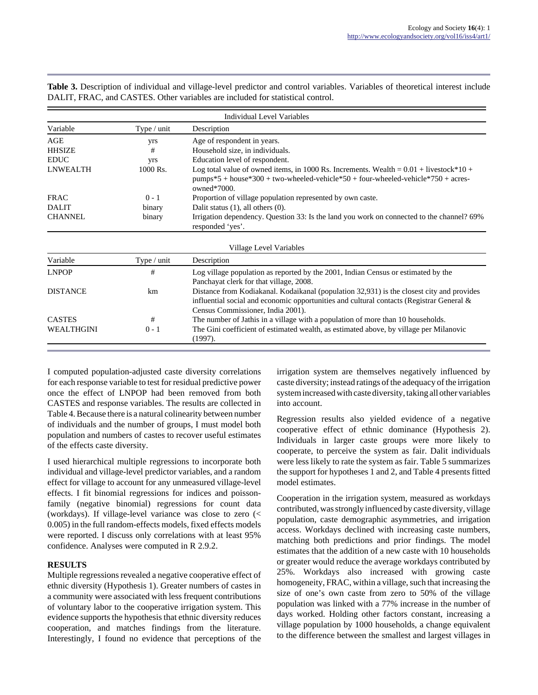|                   |               | Individual Level Variables                                                                                                                                                                                                    |  |  |  |
|-------------------|---------------|-------------------------------------------------------------------------------------------------------------------------------------------------------------------------------------------------------------------------------|--|--|--|
| Variable          | Type $/$ unit | Description                                                                                                                                                                                                                   |  |  |  |
| AGE               | yrs           | Age of respondent in years.                                                                                                                                                                                                   |  |  |  |
| <b>HHSIZE</b>     | #             | Household size, in individuals.                                                                                                                                                                                               |  |  |  |
| <b>EDUC</b>       | yrs           | Education level of respondent.                                                                                                                                                                                                |  |  |  |
| <b>LNWEALTH</b>   | 1000 Rs.      | Log total value of owned items, in 1000 Rs. Increments. Wealth = $0.01 +$ livestock*10 +<br>pumps*5 + house*300 + two-wheeled-vehicle*50 + four-wheeled-vehicle*750 + acres-<br>owned $*7000$ .                               |  |  |  |
| <b>FRAC</b>       | $0 - 1$       | Proportion of village population represented by own caste.                                                                                                                                                                    |  |  |  |
| <b>DALIT</b>      | binary        | Dalit status $(1)$ , all others $(0)$ .                                                                                                                                                                                       |  |  |  |
| <b>CHANNEL</b>    | binary        | Irrigation dependency. Question 33: Is the land you work on connected to the channel? 69%                                                                                                                                     |  |  |  |
|                   |               | responded 'yes'.                                                                                                                                                                                                              |  |  |  |
|                   |               | Village Level Variables                                                                                                                                                                                                       |  |  |  |
| Variable          | Type / unit   | Description                                                                                                                                                                                                                   |  |  |  |
| <b>LNPOP</b>      | #             | Log village population as reported by the 2001, Indian Census or estimated by the<br>Panchayat clerk for that village, 2008.                                                                                                  |  |  |  |
| <b>DISTANCE</b>   | km            | Distance from Kodiakanal. Kodaikanal (population 32,931) is the closest city and provides<br>influential social and economic opportunities and cultural contacts (Registrar General $\&$<br>Census Commissioner, India 2001). |  |  |  |
| <b>CASTES</b>     | #             | The number of Jathis in a village with a population of more than 10 households.                                                                                                                                               |  |  |  |
| <b>WEALTHGINI</b> | $0 - 1$       | The Gini coefficient of estimated wealth, as estimated above, by village per Milanovic<br>(1997).                                                                                                                             |  |  |  |

**Table 3.** Description of individual and village-level predictor and control variables. Variables of theoretical interest include DALIT, FRAC, and CASTES. Other variables are included for statistical control.

I computed population-adjusted caste diversity correlations for each response variable to test for residual predictive power once the effect of LNPOP had been removed from both CASTES and response variables. The results are collected in Table 4. Because there is a natural colinearity between number of individuals and the number of groups, I must model both population and numbers of castes to recover useful estimates of the effects caste diversity.

I used hierarchical multiple regressions to incorporate both individual and village-level predictor variables, and a random effect for village to account for any unmeasured village-level effects. I fit binomial regressions for indices and poissonfamily (negative binomial) regressions for count data (workdays). If village-level variance was close to zero (< 0.005) in the full random-effects models, fixed effects models were reported. I discuss only correlations with at least 95% confidence. Analyses were computed in R 2.9.2.

## **RESULTS**

Multiple regressions revealed a negative cooperative effect of ethnic diversity (Hypothesis 1). Greater numbers of castes in a community were associated with less frequent contributions of voluntary labor to the cooperative irrigation system. This evidence supports the hypothesis that ethnic diversity reduces cooperation, and matches findings from the literature. Interestingly, I found no evidence that perceptions of the

irrigation system are themselves negatively influenced by caste diversity; instead ratings of the adequacy of the irrigation system increased with caste diversity, taking all other variables into account.

Regression results also yielded evidence of a negative cooperative effect of ethnic dominance (Hypothesis 2). Individuals in larger caste groups were more likely to cooperate, to perceive the system as fair. Dalit individuals were less likely to rate the system as fair. Table 5 summarizes the support for hypotheses 1 and 2, and Table 4 presents fitted model estimates.

Cooperation in the irrigation system, measured as workdays contributed, was strongly influenced by caste diversity, village population, caste demographic asymmetries, and irrigation access. Workdays declined with increasing caste numbers, matching both predictions and prior findings. The model estimates that the addition of a new caste with 10 households or greater would reduce the average workdays contributed by 25%. Workdays also increased with growing caste homogeneity, FRAC, within a village, such that increasing the size of one's own caste from zero to 50% of the village population was linked with a 77% increase in the number of days worked. Holding other factors constant, increasing a village population by 1000 households, a change equivalent to the difference between the smallest and largest villages in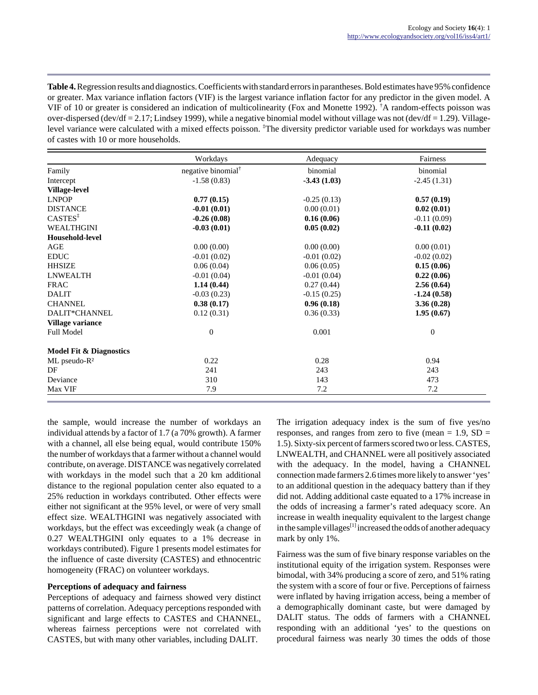**Table 4.** Regression results and diagnostics. Coefficients with standard errors in parantheses. Bold estimates have 95% confidence or greater. Max variance inflation factors (VIF) is the largest variance inflation factor for any predictor in the given model. A VIF of 10 or greater is considered an indication of multicolinearity (Fox and Monette 1992). †A random-effects poisson was over-dispersed (dev/df = 2.17; Lindsey 1999), while a negative binomial model without village was not (dev/df = 1.29). Villagelevel variance were calculated with a mixed effects poisson. ‡The diversity predictor variable used for workdays was number of castes with 10 or more households.

|                                    | Workdays                       | Adequacy      | Fairness         |
|------------------------------------|--------------------------------|---------------|------------------|
| Family                             | negative binomial <sup>†</sup> | binomial      | binomial         |
| Intercept                          | $-1.58(0.83)$                  | $-3.43(1.03)$ | $-2.45(1.31)$    |
| <b>Village-level</b>               |                                |               |                  |
| <b>LNPOP</b>                       | 0.77(0.15)                     | $-0.25(0.13)$ | 0.57(0.19)       |
| <b>DISTANCE</b>                    | $-0.01(0.01)$                  | 0.00(0.01)    | 0.02(0.01)       |
| CASTES <sup>‡</sup>                | $-0.26(0.08)$                  | 0.16(0.06)    | $-0.11(0.09)$    |
| <b>WEALTHGINI</b>                  | $-0.03(0.01)$                  | 0.05(0.02)    | $-0.11(0.02)$    |
| Household-level                    |                                |               |                  |
| AGE                                | 0.00(0.00)                     | 0.00(0.00)    | 0.00(0.01)       |
| <b>EDUC</b>                        | $-0.01(0.02)$                  | $-0.01(0.02)$ | $-0.02(0.02)$    |
| <b>HHSIZE</b>                      | 0.06(0.04)                     | 0.06(0.05)    | 0.15(0.06)       |
| <b>LNWEALTH</b>                    | $-0.01(0.04)$                  | $-0.01(0.04)$ | 0.22(0.06)       |
| <b>FRAC</b>                        | 1.14(0.44)                     | 0.27(0.44)    | 2.56(0.64)       |
| <b>DALIT</b>                       | $-0.03(0.23)$                  | $-0.15(0.25)$ | $-1.24(0.58)$    |
| <b>CHANNEL</b>                     | 0.38(0.17)                     | 0.96(0.18)    | 3.36(0.28)       |
| DALIT*CHANNEL                      | 0.12(0.31)                     | 0.36(0.33)    | 1.95(0.67)       |
| Village variance                   |                                |               |                  |
| <b>Full Model</b>                  | $\theta$                       | 0.001         | $\boldsymbol{0}$ |
| <b>Model Fit &amp; Diagnostics</b> |                                |               |                  |
| ML pseudo-R <sup>2</sup>           | 0.22                           | 0.28          | 0.94             |
| DF                                 | 241                            | 243           | 243              |
| Deviance                           | 310                            | 143           | 473              |
| Max VIF                            | 7.9                            | 7.2           | 7.2              |

the sample, would increase the number of workdays an individual attends by a factor of 1.7 (a 70% growth). A farmer with a channel, all else being equal, would contribute 150% the number of workdays that a farmer without a channel would contribute, on average. DISTANCE was negatively correlated with workdays in the model such that a 20 km additional distance to the regional population center also equated to a 25% reduction in workdays contributed. Other effects were either not significant at the 95% level, or were of very small effect size. WEALTHGINI was negatively associated with workdays, but the effect was exceedingly weak (a change of 0.27 WEALTHGINI only equates to a 1% decrease in workdays contributed). Figure 1 presents model estimates for the influence of caste diversity (CASTES) and ethnocentric homogeneity (FRAC) on volunteer workdays.

## **Perceptions of adequacy and fairness**

Perceptions of adequacy and fairness showed very distinct patterns of correlation. Adequacy perceptions responded with significant and large effects to CASTES and CHANNEL, whereas fairness perceptions were not correlated with CASTES, but with many other variables, including DALIT.

The irrigation adequacy index is the sum of five yes/no responses, and ranges from zero to five (mean  $= 1.9$ , SD  $=$ 1.5). Sixty-six percent of farmers scored two or less. CASTES, LNWEALTH, and CHANNEL were all positively associated with the adequacy. In the model, having a CHANNEL connection made farmers 2.6 times more likely to answer 'yes' to an additional question in the adequacy battery than if they did not. Adding additional caste equated to a 17% increase in the odds of increasing a farmer's rated adequacy score. An increase in wealth inequality equivalent to the largest change in the sample villages $[1]$  increased the odds of another adequacy mark by only 1%.

Fairness was the sum of five binary response variables on the institutional equity of the irrigation system. Responses were bimodal, with 34% producing a score of zero, and 51% rating the system with a score of four or five. Perceptions of fairness were inflated by having irrigation access, being a member of a demographically dominant caste, but were damaged by DALIT status. The odds of farmers with a CHANNEL responding with an additional 'yes' to the questions on procedural fairness was nearly 30 times the odds of those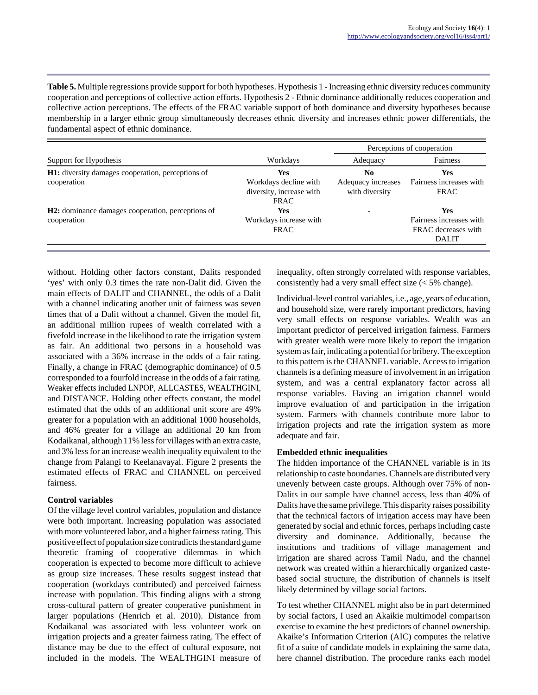**Table 5.** Multiple regressions provide support for both hypotheses. Hypothesis 1 - Increasing ethnic diversity reduces community cooperation and perceptions of collective action efforts. Hypothesis 2 - Ethnic dominance additionally reduces cooperation and collective action perceptions. The effects of the FRAC variable support of both dominance and diversity hypotheses because membership in a larger ethnic group simultaneously decreases ethnic diversity and increases ethnic power differentials, the fundamental aspect of ethnic dominance.

|                                                           |                          |                    | Perceptions of cooperation |
|-----------------------------------------------------------|--------------------------|--------------------|----------------------------|
| Support for Hypothesis                                    | Workdays                 | Adequacy           | Fairness                   |
| <b>H1</b> : diversity damages cooperation, perceptions of | Yes                      | N <sub>0</sub>     | Yes                        |
| cooperation                                               | Workdays decline with    | Adequacy increases | Fairness increases with    |
|                                                           | diversity, increase with | with diversity     | <b>FRAC</b>                |
|                                                           | <b>FRAC</b>              |                    |                            |
| H2: dominance damages cooperation, perceptions of         | Yes                      | <b>1</b>           | Yes                        |
| cooperation                                               | Workdays increase with   |                    | Fairness increases with    |
|                                                           | <b>FRAC</b>              |                    | FRAC decreases with        |
|                                                           |                          |                    | <b>DALIT</b>               |
|                                                           |                          |                    |                            |

without. Holding other factors constant, Dalits responded 'yes' with only 0.3 times the rate non-Dalit did. Given the main effects of DALIT and CHANNEL, the odds of a Dalit with a channel indicating another unit of fairness was seven times that of a Dalit without a channel. Given the model fit, an additional million rupees of wealth correlated with a fivefold increase in the likelihood to rate the irrigation system as fair. An additional two persons in a household was associated with a 36% increase in the odds of a fair rating. Finally, a change in FRAC (demographic dominance) of 0.5 corresponded to a fourfold increase in the odds of a fair rating. Weaker effects included LNPOP, ALLCASTES, WEALTHGINI, and DISTANCE. Holding other effects constant, the model estimated that the odds of an additional unit score are 49% greater for a population with an additional 1000 households, and 46% greater for a village an additional 20 km from Kodaikanal, although 11% less for villages with an extra caste, and 3% less for an increase wealth inequality equivalent to the change from Palangi to Keelanavayal. Figure 2 presents the estimated effects of FRAC and CHANNEL on perceived fairness.

## **Control variables**

Of the village level control variables, population and distance were both important. Increasing population was associated with more volunteered labor, and a higher fairness rating. This positive effect of population size contradicts the standard game theoretic framing of cooperative dilemmas in which cooperation is expected to become more difficult to achieve as group size increases. These results suggest instead that cooperation (workdays contributed) and perceived fairness increase with population. This finding aligns with a strong cross-cultural pattern of greater cooperative punishment in larger populations (Henrich et al. 2010). Distance from Kodaikanal was associated with less volunteer work on irrigation projects and a greater fairness rating. The effect of distance may be due to the effect of cultural exposure, not included in the models. The WEALTHGINI measure of

inequality, often strongly correlated with response variables, consistently had a very small effect size (< 5% change).

Individual-level control variables, i.e., age, years of education, and household size, were rarely important predictors, having very small effects on response variables. Wealth was an important predictor of perceived irrigation fairness. Farmers with greater wealth were more likely to report the irrigation system as fair, indicating a potential for bribery. The exception to this pattern is the CHANNEL variable. Access to irrigation channels is a defining measure of involvement in an irrigation system, and was a central explanatory factor across all response variables. Having an irrigation channel would improve evaluation of and participation in the irrigation system. Farmers with channels contribute more labor to irrigation projects and rate the irrigation system as more adequate and fair.

## **Embedded ethnic inequalities**

The hidden importance of the CHANNEL variable is in its relationship to caste boundaries. Channels are distributed very unevenly between caste groups. Although over 75% of non-Dalits in our sample have channel access, less than 40% of Dalits have the same privilege. This disparity raises possibility that the technical factors of irrigation access may have been generated by social and ethnic forces, perhaps including caste diversity and dominance. Additionally, because the institutions and traditions of village management and irrigation are shared across Tamil Nadu, and the channel network was created within a hierarchically organized castebased social structure, the distribution of channels is itself likely determined by village social factors.

To test whether CHANNEL might also be in part determined by social factors, I used an Akaikie multimodel comparison exercise to examine the best predictors of channel ownership. Akaike's Information Criterion (AIC) computes the relative fit of a suite of candidate models in explaining the same data, here channel distribution. The procedure ranks each model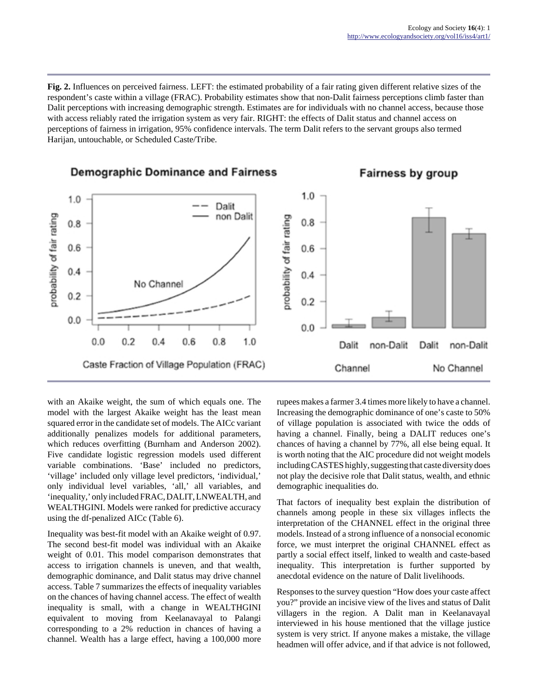**Fig. 2.** Influences on perceived fairness. LEFT: the estimated probability of a fair rating given different relative sizes of the respondent's caste within a village (FRAC). Probability estimates show that non-Dalit fairness perceptions climb faster than Dalit perceptions with increasing demographic strength. Estimates are for individuals with no channel access, because those with access reliably rated the irrigation system as very fair. RIGHT: the effects of Dalit status and channel access on perceptions of fairness in irrigation, 95% confidence intervals. The term Dalit refers to the servant groups also termed Harijan, untouchable, or Scheduled Caste/Tribe.



with an Akaike weight, the sum of which equals one. The model with the largest Akaike weight has the least mean squared error in the candidate set of models. The AICc variant additionally penalizes models for additional parameters, which reduces overfitting (Burnham and Anderson 2002). Five candidate logistic regression models used different variable combinations. 'Base' included no predictors, 'village' included only village level predictors, 'individual,' only individual level variables, 'all,' all variables, and 'inequality,' only included FRAC, DALIT, LNWEALTH, and WEALTHGINI. Models were ranked for predictive accuracy using the df-penalized AICc (Table 6).

Inequality was best-fit model with an Akaike weight of 0.97. The second best-fit model was individual with an Akaike weight of 0.01. This model comparison demonstrates that access to irrigation channels is uneven, and that wealth, demographic dominance, and Dalit status may drive channel access. Table 7 summarizes the effects of inequality variables on the chances of having channel access. The effect of wealth inequality is small, with a change in WEALTHGINI equivalent to moving from Keelanavayal to Palangi corresponding to a 2% reduction in chances of having a channel. Wealth has a large effect, having a 100,000 more rupees makes a farmer 3.4 times more likely to have a channel. Increasing the demographic dominance of one's caste to 50% of village population is associated with twice the odds of having a channel. Finally, being a DALIT reduces one's chances of having a channel by 77%, all else being equal. It is worth noting that the AIC procedure did not weight models including CASTES highly, suggesting that caste diversity does not play the decisive role that Dalit status, wealth, and ethnic demographic inequalities do.

That factors of inequality best explain the distribution of channels among people in these six villages inflects the interpretation of the CHANNEL effect in the original three models. Instead of a strong influence of a nonsocial economic force, we must interpret the original CHANNEL effect as partly a social effect itself, linked to wealth and caste-based inequality. This interpretation is further supported by anecdotal evidence on the nature of Dalit livelihoods.

Responses to the survey question "How does your caste affect you?" provide an incisive view of the lives and status of Dalit villagers in the region. A Dalit man in Keelanavayal interviewed in his house mentioned that the village justice system is very strict. If anyone makes a mistake, the village headmen will offer advice, and if that advice is not followed,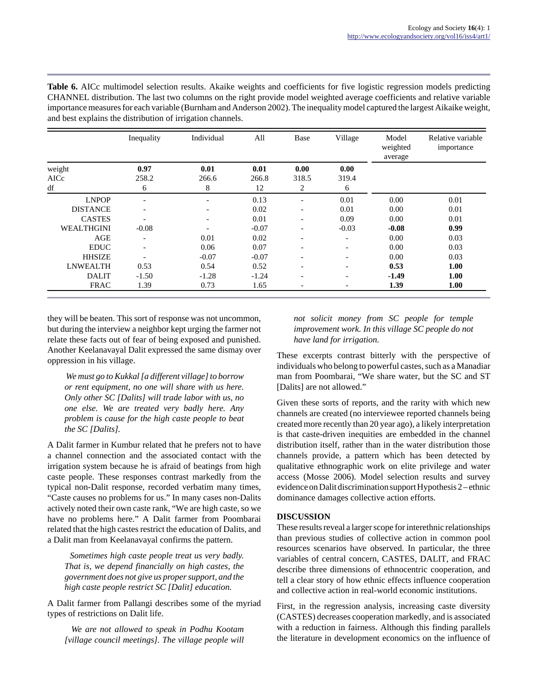|                      | Inequality                   | Individual               | All                 | Base                         | Village                  | Model<br>weighted<br>average | Relative variable<br>importance |
|----------------------|------------------------------|--------------------------|---------------------|------------------------------|--------------------------|------------------------------|---------------------------------|
| weight<br>AICc<br>df | 0.97<br>258.2<br>6           | 0.01<br>266.6<br>8       | 0.01<br>266.8<br>12 | 0.00<br>318.5<br>2           | 0.00<br>319.4<br>6       |                              |                                 |
| <b>LNPOP</b>         | $\overline{\phantom{a}}$     | $\overline{\phantom{a}}$ | 0.13                | $\qquad \qquad \blacksquare$ | 0.01                     | 0.00                         | 0.01                            |
| <b>DISTANCE</b>      | $\overline{\phantom{a}}$     | $\overline{\phantom{0}}$ | 0.02                | $\overline{\phantom{a}}$     | 0.01                     | 0.00                         | 0.01                            |
| <b>CASTES</b>        | $\qquad \qquad \blacksquare$ | $\overline{\phantom{0}}$ | 0.01                | -                            | 0.09                     | 0.00                         | 0.01                            |
| <b>WEALTHGINI</b>    | $-0.08$                      |                          | $-0.07$             | $\overline{\phantom{0}}$     | $-0.03$                  | $-0.08$                      | 0.99                            |
| AGE                  | $\qquad \qquad \blacksquare$ | 0.01                     | 0.02                | $\overline{\phantom{0}}$     | $\overline{\phantom{0}}$ | 0.00                         | 0.03                            |
| <b>EDUC</b>          | $\overline{\phantom{a}}$     | 0.06                     | 0.07                | -                            |                          | 0.00                         | 0.03                            |
| <b>HHSIZE</b>        | $\qquad \qquad \blacksquare$ | $-0.07$                  | $-0.07$             | $\overline{\phantom{0}}$     | $\overline{\phantom{0}}$ | 0.00                         | 0.03                            |
| <b>LNWEALTH</b>      | 0.53                         | 0.54                     | 0.52                | $\overline{\phantom{0}}$     | $\overline{\phantom{0}}$ | 0.53                         | 1.00                            |
| <b>DALIT</b>         | $-1.50$                      | $-1.28$                  | $-1.24$             | -                            |                          | $-1.49$                      | 1.00                            |
| <b>FRAC</b>          | 1.39                         | 0.73                     | 1.65                | $\overline{\phantom{a}}$     |                          | 1.39                         | 1.00                            |

Table 6. AICc multimodel selection results. Akaike weights and coefficients for five logistic regression models predicting CHANNEL distribution. The last two columns on the right provide model weighted average coefficients and relative variable importance measures for each variable (Burnham and Anderson 2002). The inequality model captured the largest Aikaike weight, and best explains the distribution of irrigation channels.

they will be beaten. This sort of response was not uncommon, but during the interview a neighbor kept urging the farmer not relate these facts out of fear of being exposed and punished. Another Keelanavayal Dalit expressed the same dismay over oppression in his village.

*We must go to Kukkal [a different village] to borrow or rent equipment, no one will share with us here. Only other SC [Dalits] will trade labor with us, no one else. We are treated very badly here. Any problem is cause for the high caste people to beat the SC [Dalits].*

A Dalit farmer in Kumbur related that he prefers not to have a channel connection and the associated contact with the irrigation system because he is afraid of beatings from high caste people. These responses contrast markedly from the typical non-Dalit response, recorded verbatim many times, "Caste causes no problems for us." In many cases non-Dalits actively noted their own caste rank, "We are high caste, so we have no problems here." A Dalit farmer from Poombarai related that the high castes restrict the education of Dalits, and a Dalit man from Keelanavayal confirms the pattern.

 *Sometimes high caste people treat us very badly. That is, we depend financially on high castes, the government does not give us proper support, and the high caste people restrict SC [Dalit] education.*

A Dalit farmer from Pallangi describes some of the myriad types of restrictions on Dalit life.

 *We are not allowed to speak in Podhu Kootam [village council meetings]. The village people will* *not solicit money from SC people for temple improvement work. In this village SC people do not have land for irrigation.*

These excerpts contrast bitterly with the perspective of individuals who belong to powerful castes, such as a Manadiar man from Poombarai, "We share water, but the SC and ST [Dalits] are not allowed."

Given these sorts of reports, and the rarity with which new channels are created (no interviewee reported channels being created more recently than 20 year ago), a likely interpretation is that caste-driven inequities are embedded in the channel distribution itself, rather than in the water distribution those channels provide, a pattern which has been detected by qualitative ethnographic work on elite privilege and water access (Mosse 2006). Model selection results and survey evidence on Dalit discrimination support Hypothesis 2 – ethnic dominance damages collective action efforts.

## **DISCUSSION**

These results reveal a larger scope for interethnic relationships than previous studies of collective action in common pool resources scenarios have observed. In particular, the three variables of central concern, CASTES, DALIT, and FRAC describe three dimensions of ethnocentric cooperation, and tell a clear story of how ethnic effects influence cooperation and collective action in real-world economic institutions.

First, in the regression analysis, increasing caste diversity (CASTES) decreases cooperation markedly, and is associated with a reduction in fairness. Although this finding parallels the literature in development economics on the influence of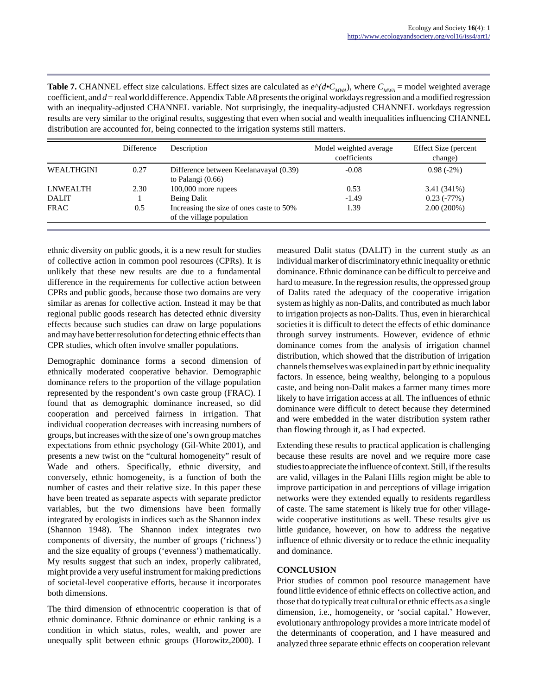**Table 7.** CHANNEL effect size calculations. Effect sizes are calculated as  $e^A/d \cdot C_{MWA}$ , where  $C_{MWA}$  = model weighted average coefficient, and *d* = real world difference. Appendix Table A8 presents the original workdays regression and a modified regression with an inequality-adjusted CHANNEL variable. Not surprisingly, the inequality-adjusted CHANNEL workdays regression results are very similar to the original results, suggesting that even when social and wealth inequalities influencing CHANNEL distribution are accounted for, being connected to the irrigation systems still matters.

|                 | Difference | Description                                                           | Model weighted average<br>coefficients | Effect Size (percent<br>change) |
|-----------------|------------|-----------------------------------------------------------------------|----------------------------------------|---------------------------------|
| WEALTHGINI      | 0.27       | Difference between Keelanavayal (0.39)<br>to Palangi $(0.66)$         | $-0.08$                                | $0.98(-2%)$                     |
| <b>LNWEALTH</b> | 2.30       | $100,000$ more rupees                                                 | 0.53                                   | $3.41(341\%)$                   |
| <b>DALIT</b>    |            | Being Dalit                                                           | $-1.49$                                | $0.23(-77%)$                    |
| <b>FRAC</b>     | 0.5        | Increasing the size of ones caste to 50%<br>of the village population | 1.39                                   | $2.00(200\%)$                   |

ethnic diversity on public goods, it is a new result for studies of collective action in common pool resources (CPRs). It is unlikely that these new results are due to a fundamental difference in the requirements for collective action between CPRs and public goods, because those two domains are very similar as arenas for collective action. Instead it may be that regional public goods research has detected ethnic diversity effects because such studies can draw on large populations and may have better resolution for detecting ethnic effects than CPR studies, which often involve smaller populations.

Demographic dominance forms a second dimension of ethnically moderated cooperative behavior. Demographic dominance refers to the proportion of the village population represented by the respondent's own caste group (FRAC). I found that as demographic dominance increased, so did cooperation and perceived fairness in irrigation. That individual cooperation decreases with increasing numbers of groups, but increases with the size of one's own group matches expectations from ethnic psychology (Gil-White 2001), and presents a new twist on the "cultural homogeneity" result of Wade and others. Specifically, ethnic diversity, and conversely, ethnic homogeneity, is a function of both the number of castes and their relative size. In this paper these have been treated as separate aspects with separate predictor variables, but the two dimensions have been formally integrated by ecologists in indices such as the Shannon index (Shannon 1948). The Shannon index integrates two components of diversity, the number of groups ('richness') and the size equality of groups ('evenness') mathematically. My results suggest that such an index, properly calibrated, might provide a very useful instrument for making predictions of societal-level cooperative efforts, because it incorporates both dimensions.

The third dimension of ethnocentric cooperation is that of ethnic dominance. Ethnic dominance or ethnic ranking is a condition in which status, roles, wealth, and power are unequally split between ethnic groups (Horowitz,2000). I

measured Dalit status (DALIT) in the current study as an individual marker of discriminatory ethnic inequality or ethnic dominance. Ethnic dominance can be difficult to perceive and hard to measure. In the regression results, the oppressed group of Dalits rated the adequacy of the cooperative irrigation system as highly as non-Dalits, and contributed as much labor to irrigation projects as non-Dalits. Thus, even in hierarchical societies it is difficult to detect the effects of ethic dominance through survey instruments. However, evidence of ethnic dominance comes from the analysis of irrigation channel distribution, which showed that the distribution of irrigation channels themselves was explained in part by ethnic inequality factors. In essence, being wealthy, belonging to a populous caste, and being non-Dalit makes a farmer many times more likely to have irrigation access at all. The influences of ethnic dominance were difficult to detect because they determined and were embedded in the water distribution system rather than flowing through it, as I had expected.

Extending these results to practical application is challenging because these results are novel and we require more case studies to appreciate the influence of context. Still, if the results are valid, villages in the Palani Hills region might be able to improve participation in and perceptions of village irrigation networks were they extended equally to residents regardless of caste. The same statement is likely true for other villagewide cooperative institutions as well. These results give us little guidance, however, on how to address the negative influence of ethnic diversity or to reduce the ethnic inequality and dominance.

## **CONCLUSION**

Prior studies of common pool resource management have found little evidence of ethnic effects on collective action, and those that do typically treat cultural or ethnic effects as a single dimension, i.e., homogeneity, or 'social capital.' However, evolutionary anthropology provides a more intricate model of the determinants of cooperation, and I have measured and analyzed three separate ethnic effects on cooperation relevant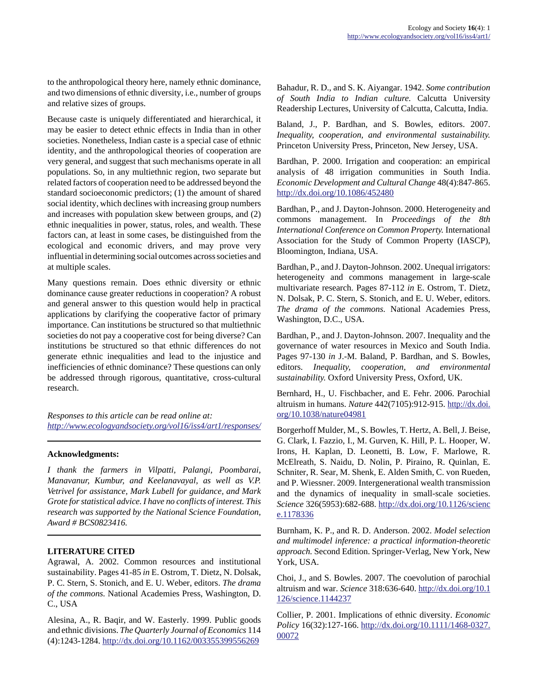to the anthropological theory here, namely ethnic dominance, and two dimensions of ethnic diversity, i.e., number of groups and relative sizes of groups.

Because caste is uniquely differentiated and hierarchical, it may be easier to detect ethnic effects in India than in other societies. Nonetheless, Indian caste is a special case of ethnic identity, and the anthropological theories of cooperation are very general, and suggest that such mechanisms operate in all populations. So, in any multiethnic region, two separate but related factors of cooperation need to be addressed beyond the standard socioeconomic predictors; (1) the amount of shared social identity, which declines with increasing group numbers and increases with population skew between groups, and (2) ethnic inequalities in power, status, roles, and wealth. These factors can, at least in some cases, be distinguished from the ecological and economic drivers, and may prove very influential in determining social outcomes across societies and at multiple scales.

Many questions remain. Does ethnic diversity or ethnic dominance cause greater reductions in cooperation? A robust and general answer to this question would help in practical applications by clarifying the cooperative factor of primary importance. Can institutions be structured so that multiethnic societies do not pay a cooperative cost for being diverse? Can institutions be structured so that ethnic differences do not generate ethnic inequalities and lead to the injustice and inefficiencies of ethnic dominance? These questions can only be addressed through rigorous, quantitative, cross-cultural research.

*Responses to this article can be read online at: <http://www.ecologyandsociety.org/vol16/iss4/art1/responses/>*

#### **Acknowledgments:**

*I thank the farmers in Vilpatti, Palangi, Poombarai, Manavanur, Kumbur, and Keelanavayal, as well as V.P. Vetrivel for assistance, Mark Lubell for guidance, and Mark Grote for statistical advice. I have no conflicts of interest. This research was supported by the National Science Foundation, Award # BCS0823416.*

#### **LITERATURE CITED**

Agrawal, A. 2002. Common resources and institutional sustainability. Pages 41-85 *in* E. Ostrom, T. Dietz, N. Dolsak, P. C. Stern, S. Stonich, and E. U. Weber, editors. *The drama of the commons.* National Academies Press, Washington, D. C., USA

Alesina, A., R. Baqir, and W. Easterly. 1999. Public goods and ethnic divisions. *The Quarterly Journal of Economics* 114 (4):1243-1284. <http://dx.doi.org/10.1162/003355399556269>

Bahadur, R. D., and S. K. Aiyangar. 1942. *Some contribution of South India to Indian culture.* Calcutta University Readership Lectures, University of Calcutta, Calcutta, India.

Baland, J., P. Bardhan, and S. Bowles, editors. 2007. *Inequality, cooperation, and environmental sustainability.* Princeton University Press, Princeton, New Jersey, USA.

Bardhan, P. 2000. Irrigation and cooperation: an empirical analysis of 48 irrigation communities in South India. *Economic Development and Cultural Change* 48(4):847-865. <http://dx.doi.org/10.1086/452480>

Bardhan, P., and J. Dayton-Johnson. 2000. Heterogeneity and commons management. In *Proceedings of the 8th International Conference on Common Property.* International Association for the Study of Common Property (IASCP), Bloomington, Indiana, USA.

Bardhan, P., and J. Dayton-Johnson. 2002. Unequal irrigators: heterogeneity and commons management in large-scale multivariate research. Pages 87-112 *in* E. Ostrom, T. Dietz, N. Dolsak, P. C. Stern, S. Stonich, and E. U. Weber, editors. *The drama of the commons.* National Academies Press, Washington, D.C., USA.

Bardhan, P., and J. Dayton-Johnson. 2007. Inequality and the governance of water resources in Mexico and South India. Pages 97-130 *in* J.-M. Baland, P. Bardhan, and S. Bowles, editors. *Inequality, cooperation, and environmental sustainability.* Oxford University Press, Oxford, UK.

Bernhard, H., U. Fischbacher, and E. Fehr. 2006. Parochial altruism in humans. *Nature* 442(7105):912-915. [http://dx.doi.](http://dx.doi.org/10.1038/nature04981) [org/10.1038/nature04981](http://dx.doi.org/10.1038/nature04981)

Borgerhoff Mulder, M., S. Bowles, T. Hertz, A. Bell, J. Beise, G. Clark, I. Fazzio, I., M. Gurven, K. Hill, P. L. Hooper, W. Irons, H. Kaplan, D. Leonetti, B. Low, F. Marlowe, R. McElreath, S. Naidu, D. Nolin, P. Piraino, R. Quinlan, E. Schniter, R. Sear, M. Shenk, E. Alden Smith, C. von Rueden, and P. Wiessner. 2009. Intergenerational wealth transmission and the dynamics of inequality in small-scale societies. *Science* 326(5953):682-688. [http://dx.doi.org/10.1126/scienc](http://dx.doi.org/10.1126/science.1178336) [e.1178336](http://dx.doi.org/10.1126/science.1178336)

Burnham, K. P., and R. D. Anderson. 2002. *Model selection and multimodel inference: a practical information-theoretic approach.* Second Edition. Springer-Verlag, New York, New York, USA.

Choi, J., and S. Bowles. 2007. The coevolution of parochial altruism and war. *Science* 318:636-640. [http://dx.doi.org/10.1](http://dx.doi.org/10.1126/science.1144237) [126/science.1144237](http://dx.doi.org/10.1126/science.1144237)

Collier, P. 2001. Implications of ethnic diversity. *Economic Policy* 16(32):127-166. [http://dx.doi.org/10.1111/1468-0327.](http://dx.doi.org/10.1111/1468-0327.00072) [00072](http://dx.doi.org/10.1111/1468-0327.00072)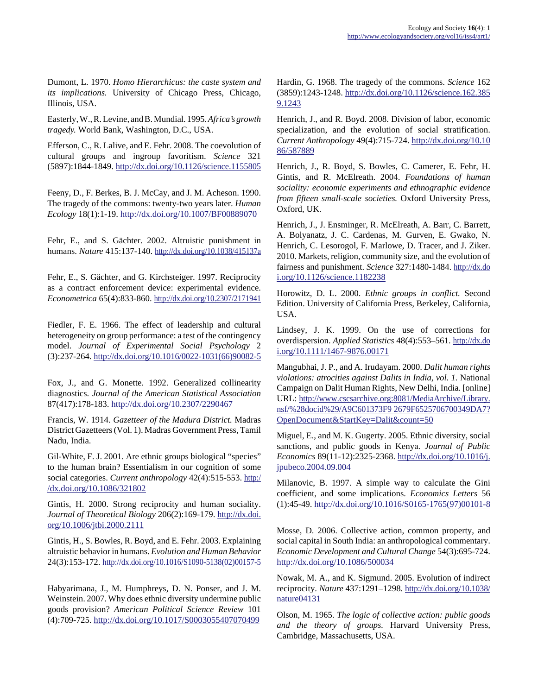Dumont, L. 1970. *Homo Hierarchicus: the caste system and its implications.* University of Chicago Press, Chicago, Illinois, USA.

Easterly, W., R. Levine, and B. Mundial. 1995. *Africa's growth tragedy.* World Bank, Washington, D.C., USA.

Efferson, C., R. Lalive, and E. Fehr. 2008. The coevolution of cultural groups and ingroup favoritism. *Science* 321 (5897):1844-1849. <http://dx.doi.org/10.1126/science.1155805>

Feeny, D., F. Berkes, B. J. McCay, and J. M. Acheson. 1990. The tragedy of the commons: twenty-two years later. *Human Ecology* 18(1):1-19.<http://dx.doi.org/10.1007/BF00889070>

Fehr, E., and S. Gächter. 2002. Altruistic punishment in humans. *Nature* 415:137-140.<http://dx.doi.org/10.1038/415137a>

Fehr, E., S. Gächter, and G. Kirchsteiger. 1997. Reciprocity as a contract enforcement device: experimental evidence. *Econometrica* 65(4):833-860.<http://dx.doi.org/10.2307/2171941>

Fiedler, F. E. 1966. The effect of leadership and cultural heterogeneity on group performance: a test of the contingency model. *Journal of Experimental Social Psychology* 2 (3):237-264. [http://dx.doi.org/10.1016/0022-1031\(66\)90082-5](http://dx.doi.org/10.1016/0022-1031(66)90082-5)

Fox, J., and G. Monette. 1992. Generalized collinearity diagnostics. *Journal of the American Statistical Association* 87(417):178-183. <http://dx.doi.org/10.2307/2290467>

Francis, W. 1914. *Gazetteer of the Madura District.* Madras District Gazetteers (Vol. 1). Madras Government Press, Tamil Nadu, India.

Gil-White, F. J. 2001. Are ethnic groups biological "species" to the human brain? Essentialism in our cognition of some social categories. *Current anthropology* 42(4):515-553. [http:/](http://dx.doi.org/10.1086/321802) [/dx.doi.org/10.1086/321802](http://dx.doi.org/10.1086/321802)

Gintis, H. 2000. Strong reciprocity and human sociality. *Journal of Theoretical Biology* 206(2):169-179. [http://dx.doi.](http://dx.doi.org/10.1006/jtbi.2000.2111) [org/10.1006/jtbi.2000.2111](http://dx.doi.org/10.1006/jtbi.2000.2111)

Gintis, H., S. Bowles, R. Boyd, and E. Fehr. 2003. Explaining altruistic behavior in humans. *Evolution and Human Behavior* 24(3):153-172. [http://dx.doi.org/10.1016/S1090-5138\(02\)00157-5](http://dx.doi.org/10.1016/S1090-5138(02)00157-5)

Habyarimana, J., M. Humphreys, D. N. Ponser, and J. M. Weinstein. 2007. Why does ethnic diversity undermine public goods provision? *American Political Science Review* 101 (4):709-725. <http://dx.doi.org/10.1017/S0003055407070499>

Hardin, G. 1968. The tragedy of the commons. *Science* 162 (3859):1243-1248. [http://dx.doi.org/10.1126/science.162.385](http://dx.doi.org/10.1126/science.162.3859.1243) [9.1243](http://dx.doi.org/10.1126/science.162.3859.1243)

Henrich, J., and R. Boyd. 2008. Division of labor, economic specialization, and the evolution of social stratification. *Current Anthropology* 49(4):715-724. [http://dx.doi.org/10.10](http://dx.doi.org/10.1086/587889) [86/587889](http://dx.doi.org/10.1086/587889)

Henrich, J., R. Boyd, S. Bowles, C. Camerer, E. Fehr, H. Gintis, and R. McElreath. 2004. *Foundations of human sociality: economic experiments and ethnographic evidence from fifteen small-scale societies.* Oxford University Press, Oxford, UK.

Henrich, J., J. Ensminger, R. McElreath, A. Barr, C. Barrett, A. Bolyanatz, J. C. Cardenas, M. Gurven, E. Gwako, N. Henrich, C. Lesorogol, F. Marlowe, D. Tracer, and J. Ziker. 2010. Markets, religion, community size, and the evolution of fairness and punishment. *Science* 327:1480-1484. [http://dx.do](http://dx.doi.org/10.1126/science.1182238) [i.org/10.1126/science.1182238](http://dx.doi.org/10.1126/science.1182238)

Horowitz, D. L. 2000. *Ethnic groups in conflict.* Second Edition. University of California Press, Berkeley, California, USA.

Lindsey, J. K. 1999. On the use of corrections for overdispersion. *Applied Statistics* 48(4):553–561. [http://dx.do](http://dx.doi.org/10.1111/1467-9876.00171) [i.org/10.1111/1467-9876.00171](http://dx.doi.org/10.1111/1467-9876.00171)

Mangubhai, J. P., and A. Irudayam. 2000. *Dalit human rights violations: atrocities against Dalits in India, vol. 1.* National Campaign on Dalit Human Rights, New Delhi, India. [online] URL: [http://www.cscsarchive.org:8081/MediaArchive/Library.](http://www.cscsarchive.org:8081/MediaArchive/Library.nsf/%28docid%29/A9C601373F9 2679F6525706700349DA7?OpenDocument&StartKey=Dalit&count=50) [nsf/%28docid%29/A9C601373F9 2679F6525706700349DA7?](http://www.cscsarchive.org:8081/MediaArchive/Library.nsf/%28docid%29/A9C601373F9 2679F6525706700349DA7?OpenDocument&StartKey=Dalit&count=50) [OpenDocument&StartKey=Dalit&count=50](http://www.cscsarchive.org:8081/MediaArchive/Library.nsf/%28docid%29/A9C601373F9 2679F6525706700349DA7?OpenDocument&StartKey=Dalit&count=50)

Miguel, E., and M. K. Gugerty. 2005. Ethnic diversity, social sanctions, and public goods in Kenya. *Journal of Public Economics* 89(11-12):2325-2368. [http://dx.doi.org/10.1016/j.](http://dx.doi.org/10.1016/j.jpubeco.2004.09.004) [jpubeco.2004.09.004](http://dx.doi.org/10.1016/j.jpubeco.2004.09.004)

Milanovic, B. 1997. A simple way to calculate the Gini coefficient, and some implications. *Economics Letters* 56 (1):45-49. [http://dx.doi.org/10.1016/S0165-1765\(97\)00101-8](http://dx.doi.org/10.1016/S0165-1765(97)00101-8)

Mosse, D. 2006. Collective action, common property, and social capital in South India: an anthropological commentary. *Economic Development and Cultural Change* 54(3):695-724. <http://dx.doi.org/10.1086/500034>

Nowak, M. A., and K. Sigmund. 2005. Evolution of indirect reciprocity. *Nature* 437:1291–1298. [http://dx.doi.org/10.1038/](http://dx.doi.org/10.1038/nature04131) [nature04131](http://dx.doi.org/10.1038/nature04131)

Olson, M. 1965. *The logic of collective action: public goods and the theory of groups.* Harvard University Press, Cambridge, Massachusetts, USA.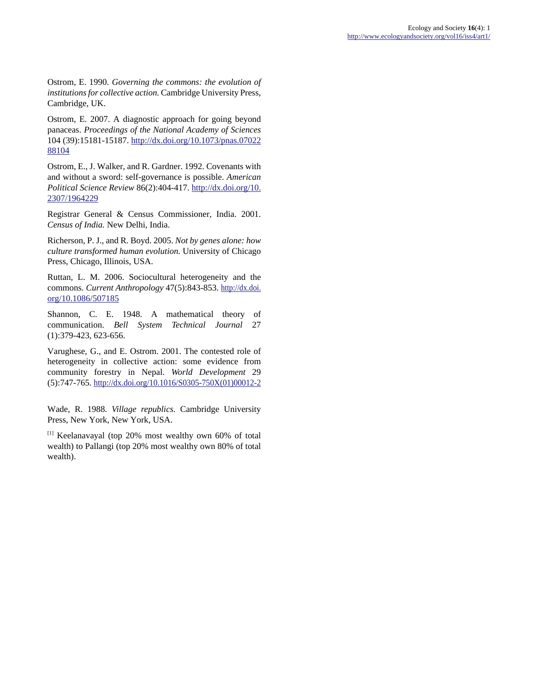Ostrom, E. 1990. *Governing the commons: the evolution of institutions for collective action.* Cambridge University Press, Cambridge, UK.

Ostrom, E. 2007. A diagnostic approach for going beyond panaceas. *Proceedings of the National Academy of Sciences* 104 (39):15181-15187. [http://dx.doi.org/10.1073/pnas.07022](http://dx.doi.org/10.1073/pnas.0702288104) [88104](http://dx.doi.org/10.1073/pnas.0702288104)

Ostrom, E., J. Walker, and R. Gardner. 1992. Covenants with and without a sword: self-governance is possible. *American Political Science Review* 86(2):404-417. [http://dx.doi.org/10.](http://dx.doi.org/10.2307/1964229) [2307/1964229](http://dx.doi.org/10.2307/1964229)

Registrar General & Census Commissioner, India. 2001. *Census of India.* New Delhi, India.

Richerson, P. J., and R. Boyd. 2005. *Not by genes alone: how culture transformed human evolution.* University of Chicago Press, Chicago, Illinois, USA.

Ruttan, L. M. 2006. Sociocultural heterogeneity and the commons. *Current Anthropology* 47(5):843-853. [http://dx.doi.](http://dx.doi.org/10.1086/507185) [org/10.1086/507185](http://dx.doi.org/10.1086/507185)

Shannon, C. E. 1948. A mathematical theory of communication. *Bell System Technical Journal* 27 (1):379-423, 623-656.

Varughese, G., and E. Ostrom. 2001. The contested role of heterogeneity in collective action: some evidence from community forestry in Nepal. *World Development* 29 (5):747-765. [http://dx.doi.org/10.1016/S0305-750X\(01\)00012-2](http://dx.doi.org/10.1016/S0305-750X(01)00012-2)

Wade, R. 1988. *Village republics.* Cambridge University Press, New York, New York, USA.

[1] Keelanavayal (top 20% most wealthy own 60% of total wealth) to Pallangi (top 20% most wealthy own 80% of total wealth).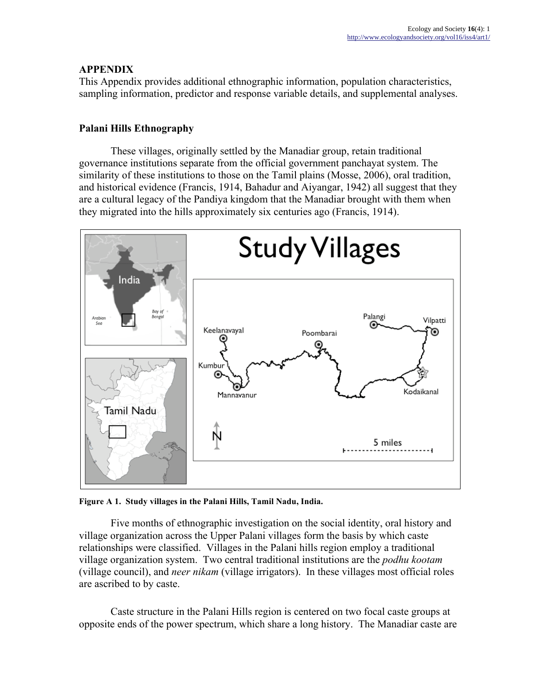# **APPENDIX**

This Appendix provides additional ethnographic information, population characteristics, sampling information, predictor and response variable details, and supplemental analyses.

# **Palani Hills Ethnography**

These villages, originally settled by the Manadiar group, retain traditional governance institutions separate from the official government panchayat system. The similarity of these institutions to those on the Tamil plains (Mosse, 2006), oral tradition, and historical evidence (Francis, 1914, Bahadur and Aiyangar, 1942) all suggest that they are a cultural legacy of the Pandiya kingdom that the Manadiar brought with them when they migrated into the hills approximately six centuries ago (Francis, 1914).



**Figure A 1. Study villages in the Palani Hills, Tamil Nadu, India.**

Five months of ethnographic investigation on the social identity, oral history and village organization across the Upper Palani villages form the basis by which caste relationships were classified. Villages in the Palani hills region employ a traditional village organization system. Two central traditional institutions are the *podhu kootam* (village council), and *neer nikam* (village irrigators). In these villages most official roles are ascribed to by caste.

Caste structure in the Palani Hills region is centered on two focal caste groups at opposite ends of the power spectrum, which share a long history. The Manadiar caste are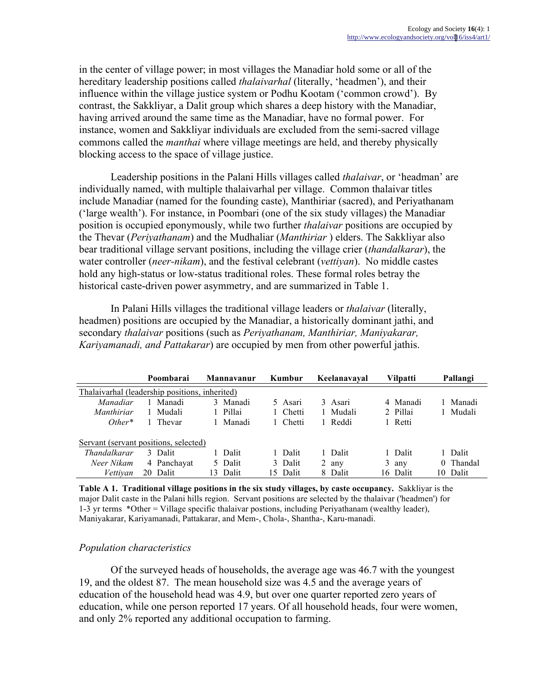in the center of village power; in most villages the Manadiar hold some or all of the hereditary leadership positions called *thalaivarhal* (literally, 'headmen'), and their influence within the village justice system or Podhu Kootam ('common crowd'). By contrast, the Sakkliyar, a Dalit group which shares a deep history with the Manadiar, having arrived around the same time as the Manadiar, have no formal power. For instance, women and Sakkliyar individuals are excluded from the semi-sacred village commons called the *manthai* where village meetings are held, and thereby physically blocking access to the space of village justice.

Leadership positions in the Palani Hills villages called *thalaivar*, or 'headman' are individually named, with multiple thalaivarhal per village. Common thalaivar titles include Manadiar (named for the founding caste), Manthiriar (sacred), and Periyathanam ('large wealth'). For instance, in Poombari (one of the six study villages) the Manadiar position is occupied eponymously, while two further *thalaivar* positions are occupied by the Thevar (*Periyathanam*) and the Mudhaliar (*Manthiriar* ) elders. The Sakkliyar also bear traditional village servant positions, including the village crier (*thandalkarar*), the water controller (*neer-nikam*), and the festival celebrant (*vettiyan*). No middle castes hold any high-status or low-status traditional roles. These formal roles betray the historical caste-driven power asymmetry, and are summarized in Table 1.

In Palani Hills villages the traditional village leaders or *thalaivar* (literally, headmen) positions are occupied by the Manadiar, a historically dominant jathi, and secondary *thalaivar* positions (such as *Periyathanam, Manthiriar, Maniyakarar, Kariyamanadi, and Pattakarar*) are occupied by men from other powerful jathis.

|                                                |              | Poombarai   |    | <b>Mannavanur</b> | Kumbur   | Keelanavaval | Vilpatti | Pallangi  |
|------------------------------------------------|--------------|-------------|----|-------------------|----------|--------------|----------|-----------|
| Thalaivarhal (leadership positions, inherited) |              |             |    |                   |          |              |          |           |
| Manadiar                                       |              | Manadi      |    | 3 Manadi          | 5 Asari  | 3 Asari      | 4 Manadi | Manadi    |
| Manthiriar                                     | $\mathbf{1}$ | Mudali      | 1. | Pillai            | 1 Chetti | 1 Mudali     | 2 Pillai | 1 Mudali  |
| $Other*$                                       |              | Thevar      | 1  | Manadi            | 1 Chetti | 1 Reddi      | 1 Retti  |           |
|                                                |              |             |    |                   |          |              |          |           |
| Servant (servant positions, selected)          |              |             |    |                   |          |              |          |           |
| Thandalkarar                                   |              | 3 Dalit     |    | Dalit             | 1 Dalit  | 1 Dalit      | 1 Dalit  | 1 Dalit   |
| Neer Nikam                                     |              | 4 Panchayat |    | 5 Dalit           | 3 Dalit  | 2 any        | $3$ any  | 0 Thandal |
| Vettivan                                       |              | 20 Dalit    |    | 13 Dalit          | 15 Dalit | 8 Dalit      | 16 Dalit | 10 Dalit  |

**Table A 1. Traditional village positions in the six study villages, by caste occupancy.** Sakkliyar is the major Dalit caste in the Palani hills region. Servant positions are selected by the thalaivar ('headmen') for 1-3 yr terms \*Other = Village specific thalaivar postions, including Periyathanam (wealthy leader), Maniyakarar, Kariyamanadi, Pattakarar, and Mem-, Chola-, Shantha-, Karu-manadi.

# *Population characteristics*

Of the surveyed heads of households, the average age was 46.7 with the youngest 19, and the oldest 87. The mean household size was 4.5 and the average years of education of the household head was 4.9, but over one quarter reported zero years of education, while one person reported 17 years. Of all household heads, four were women, and only 2% reported any additional occupation to farming.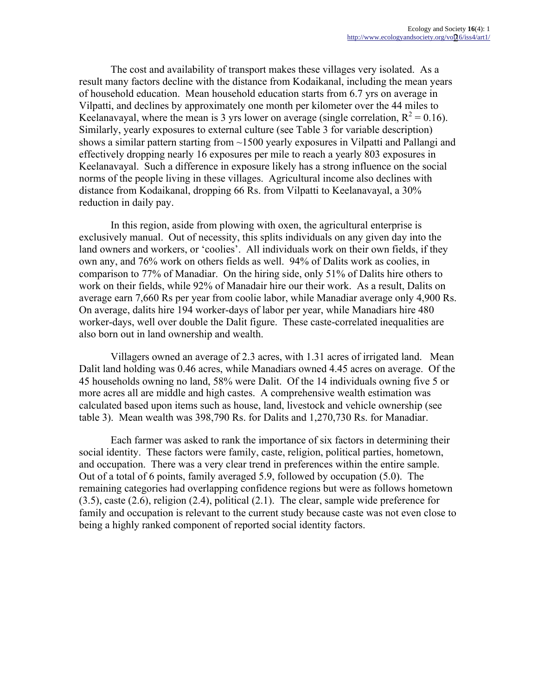The cost and availability of transport makes these villages very isolated. As a result many factors decline with the distance from Kodaikanal, including the mean years of household education. Mean household education starts from 6.7 yrs on average in Vilpatti, and declines by approximately one month per kilometer over the 44 miles to Keelanavayal, where the mean is 3 yrs lower on average (single correlation,  $R^2 = 0.16$ ). Similarly, yearly exposures to external culture (see Table 3 for variable description) shows a similar pattern starting from ~1500 yearly exposures in Vilpatti and Pallangi and effectively dropping nearly 16 exposures per mile to reach a yearly 803 exposures in Keelanavayal. Such a difference in exposure likely has a strong influence on the social norms of the people living in these villages. Agricultural income also declines with distance from Kodaikanal, dropping 66 Rs. from Vilpatti to Keelanavayal, a 30% reduction in daily pay.

In this region, aside from plowing with oxen, the agricultural enterprise is exclusively manual. Out of necessity, this splits individuals on any given day into the land owners and workers, or 'coolies'. All individuals work on their own fields, if they own any, and 76% work on others fields as well. 94% of Dalits work as coolies, in comparison to 77% of Manadiar. On the hiring side, only 51% of Dalits hire others to work on their fields, while 92% of Manadair hire our their work. As a result, Dalits on average earn 7,660 Rs per year from coolie labor, while Manadiar average only 4,900 Rs. On average, dalits hire 194 worker-days of labor per year, while Manadiars hire 480 worker-days, well over double the Dalit figure. These caste-correlated inequalities are also born out in land ownership and wealth.

Villagers owned an average of 2.3 acres, with 1.31 acres of irrigated land. Mean Dalit land holding was 0.46 acres, while Manadiars owned 4.45 acres on average. Of the 45 households owning no land, 58% were Dalit. Of the 14 individuals owning five 5 or more acres all are middle and high castes. A comprehensive wealth estimation was calculated based upon items such as house, land, livestock and vehicle ownership (see table 3). Mean wealth was 398,790 Rs. for Dalits and 1,270,730 Rs. for Manadiar.

Each farmer was asked to rank the importance of six factors in determining their social identity. These factors were family, caste, religion, political parties, hometown, and occupation. There was a very clear trend in preferences within the entire sample. Out of a total of 6 points, family averaged 5.9, followed by occupation (5.0). The remaining categories had overlapping confidence regions but were as follows hometown (3.5), caste (2.6), religion (2.4), political (2.1). The clear, sample wide preference for family and occupation is relevant to the current study because caste was not even close to being a highly ranked component of reported social identity factors.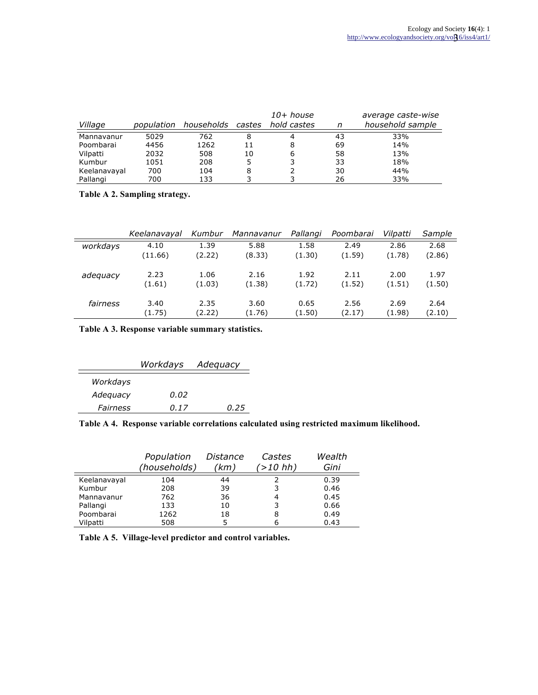|              |            |            |        | 10+ house   |    | average caste-wise |
|--------------|------------|------------|--------|-------------|----|--------------------|
| Village      | population | households | castes | hold castes | n  | household sample   |
| Mannavanur   | 5029       | 762        |        | 4           | 43 | 33%                |
| Poombarai    | 4456       | 1262       | 11     | 8           | 69 | 14%                |
| Vilpatti     | 2032       | 508        | 10     | 6           | 58 | 13%                |
| Kumbur       | 1051       | 208        |        |             | 33 | 18%                |
| Keelanavayal | 700        | 104        | 8      |             | 30 | 44%                |
| Pallangi     | 700        | 133        |        |             | 26 | 33%                |

**Table A 2. Sampling strategy.**

|          | Keelanavaval | Kumbur | Mannavanur | Pallangi | Poombarai | Vilpatti | Sample |
|----------|--------------|--------|------------|----------|-----------|----------|--------|
| workdays | 4.10         | 1.39   | 5.88       | 1.58     | 2.49      | 2.86     | 2.68   |
|          | (11.66)      | (2.22) | (8.33)     | (1.30)   | (1.59)    | (1.78)   | (2.86) |
| adeguacy | 2.23         | 1.06   | 2.16       | 1.92     | 2.11      | 2.00     | 1.97   |
|          | (1.61)       | (1.03) | (1.38)     | (1.72)   | (1.52)    | (1.51)   | (1.50) |
| fairness | 3.40         | 2.35   | 3.60       | 0.65     | 2.56      | 2.69     | 2.64   |
|          | (1.75)       | (2.22) | (1.76)     | (1.50)   | (2.17)    | (1.98)   | (2.10) |

**Table A 3. Response variable summary statistics.**

|                 | Workdays | Adequacy |
|-----------------|----------|----------|
| Workdays        |          |          |
| Adeguacy        | 0.02     |          |
| <b>Fairness</b> | N. 17    | በ.25     |

**Table A 4. Response variable correlations calculated using restricted maximum likelihood.**

|              | Population<br>(households) | Distance<br>'km) | Castes<br>′>10 hh) | Wealth<br>Gini |
|--------------|----------------------------|------------------|--------------------|----------------|
| Keelanavayal | 104                        | 44               |                    | 0.39           |
| Kumbur       | 208                        | 39               |                    | 0.46           |
| Mannavanur   | 762                        | 36               | 4                  | 0.45           |
| Pallangi     | 133                        | 10               |                    | 0.66           |
| Poombarai    | 1262                       | 18               | 8                  | 0.49           |
| Vilpatti     | 508                        |                  |                    | 0.43           |

**Table A 5. Village-level predictor and control variables.**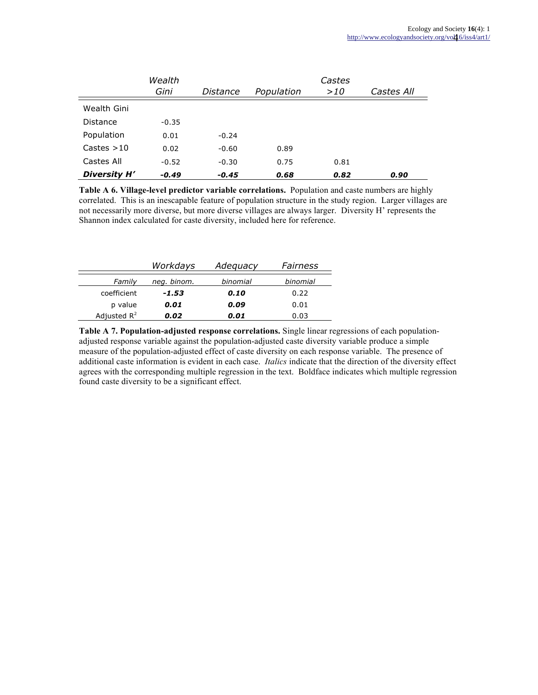|                     | Wealth<br>Gini | Distance | Population | Castes<br>>10 | Castes All |
|---------------------|----------------|----------|------------|---------------|------------|
| Wealth Gini         |                |          |            |               |            |
| <b>Distance</b>     | $-0.35$        |          |            |               |            |
| Population          | 0.01           | $-0.24$  |            |               |            |
| Castes $>10$        | 0.02           | $-0.60$  | 0.89       |               |            |
| Castes All          | $-0.52$        | $-0.30$  | 0.75       | 0.81          |            |
| <b>Diversity H'</b> | $-0.49$        | $-0.45$  | 0.68       | 0.82          | 0.90       |

**Table A 6. Village-level predictor variable correlations.** Population and caste numbers are highly correlated. This is an inescapable feature of population structure in the study region. Larger villages are not necessarily more diverse, but more diverse villages are always larger. Diversity H' represents the Shannon index calculated for caste diversity, included here for reference.

|                | Workdays    | Adeguacy | Fairness |
|----------------|-------------|----------|----------|
| Family         | neg. binom. | binomial | binomial |
| coefficient    | -1.53       | 0.10     | 0.22     |
| p value        | 0.01        | 0.09     | 0.01     |
| Adjusted $R^2$ | 0.02        | 0.01     | 0.03     |

**Table A 7. Population-adjusted response correlations.** Single linear regressions of each populationadjusted response variable against the population-adjusted caste diversity variable produce a simple measure of the population-adjusted effect of caste diversity on each response variable. The presence of additional caste information is evident in each case. *Italics* indicate that the direction of the diversity effect agrees with the corresponding multiple regression in the text. Boldface indicates which multiple regression found caste diversity to be a significant effect.